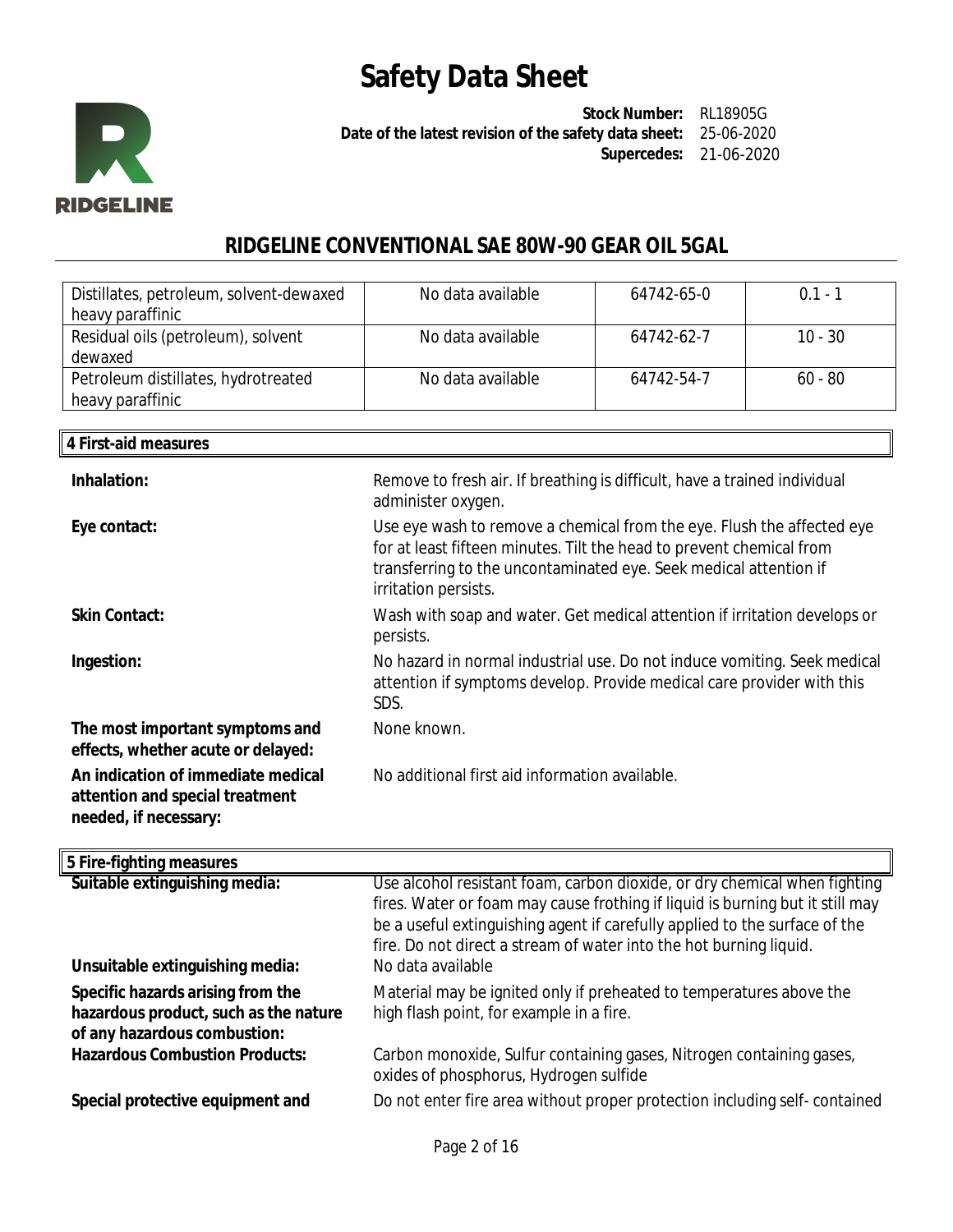

**Stock Number:** RL18905G **Date of the latest revision of the safety data sheet:** 25-06-2020 **Supercedes:** 21-06-2020

### **RIDGELINE CONVENTIONAL SAE 80W-90 GEAR OIL 5GAL**

| Distillates, petroleum, solvent-dewaxed<br>heavy paraffinic | No data available | 64742-65-0 | $0.1 - 1$ |
|-------------------------------------------------------------|-------------------|------------|-----------|
| Residual oils (petroleum), solvent<br>dewaxed               | No data available | 64742-62-7 | $10 - 30$ |
| Petroleum distillates, hydrotreated<br>heavy paraffinic     | No data available | 64742-54-7 | $60 - 80$ |

| 4 First-aid measures                                                                           |                                                                                                                                                                                                                                             |
|------------------------------------------------------------------------------------------------|---------------------------------------------------------------------------------------------------------------------------------------------------------------------------------------------------------------------------------------------|
| Inhalation:                                                                                    | Remove to fresh air. If breathing is difficult, have a trained individual<br>administer oxygen.                                                                                                                                             |
| Eye contact:                                                                                   | Use eye wash to remove a chemical from the eye. Flush the affected eye<br>for at least fifteen minutes. Tilt the head to prevent chemical from<br>transferring to the uncontaminated eye. Seek medical attention if<br>irritation persists. |
| <b>Skin Contact:</b>                                                                           | Wash with soap and water. Get medical attention if irritation develops or<br>persists.                                                                                                                                                      |
| Ingestion:                                                                                     | No hazard in normal industrial use. Do not induce vomiting. Seek medical<br>attention if symptoms develop. Provide medical care provider with this<br>SDS.                                                                                  |
| The most important symptoms and<br>effects, whether acute or delayed:                          | None known.                                                                                                                                                                                                                                 |
| An indication of immediate medical<br>attention and special treatment<br>needed, if necessary: | No additional first aid information available.                                                                                                                                                                                              |
| 5 Fire-fighting measures                                                                       |                                                                                                                                                                                                                                             |
| Suitable extinguishing media:                                                                  | Use alcohol resistant foam, carbon dioxide, or dry chemical when fighting<br>fires. Water or foam may cause frothing if liquid is burning but it still may<br>be a useful extinguishing agent if carefully applied to the surface of the    |

**Unsuitable extinguishing media: Specific hazards arising from the hazardous product, such as the nature of any hazardous combustion:**

**Special protective equipment and** Do not enter fire area without proper protection including self- contained

I

high flash point, for example in a fire.

oxides of phosphorus, Hydrogen sulfide

fire. Do not direct a stream of water into the hot burning liquid.

Material may be ignited only if preheated to temperatures above the

Carbon monoxide, Sulfur containing gases, Nitrogen containing gases,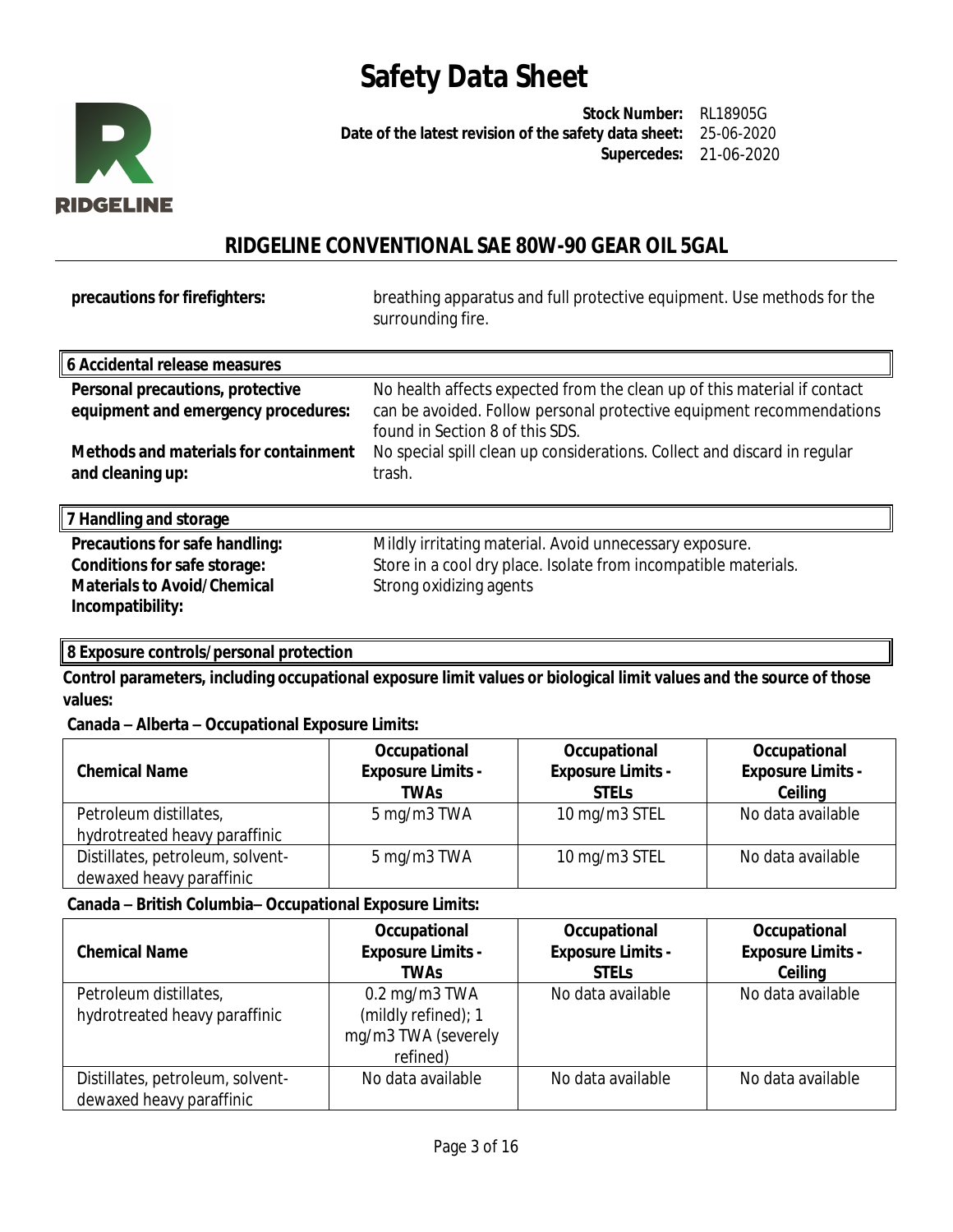

**Stock Number:** RL18905G **Date of the latest revision of the safety data sheet:** 25-06-2020 **Supercedes:** 21-06-2020

## **RIDGELINE CONVENTIONAL SAE 80W-90 GEAR OIL 5GAL**

**precautions for firefighters:** breathing apparatus and full protective equipment. Use methods for the surrounding fire.

| 6 Accidental release measures                             |                                                                                                         |
|-----------------------------------------------------------|---------------------------------------------------------------------------------------------------------|
| Personal precautions, protective                          | No health affects expected from the clean up of this material if contact                                |
| equipment and emergency procedures:                       | can be avoided. Follow personal protective equipment recommendations<br>found in Section 8 of this SDS. |
| Methods and materials for containment<br>and cleaning up: | No special spill clean up considerations. Collect and discard in regular<br>trash.                      |

**7 Handling and storage**

| 7 Handling and storage             |                                                                 |
|------------------------------------|-----------------------------------------------------------------|
| Precautions for safe handling:     | Mildly irritating material. Avoid unnecessary exposure.         |
| Conditions for safe storage:       | Store in a cool dry place. Isolate from incompatible materials. |
| <b>Materials to Avoid/Chemical</b> | Strong oxidizing agents                                         |
| Incompatibility:                   |                                                                 |

### **8 Exposure controls/personal protection**

**Control parameters, including occupational exposure limit values or biological limit values and the source of those values:**

### **Canada – Alberta – Occupational Exposure Limits:**

| <b>Chemical Name</b>                                         | Occupational<br><b>Exposure Limits -</b><br><b>TWAs</b> | Occupational<br><b>Exposure Limits -</b><br><b>STELS</b> | Occupational<br><b>Exposure Limits -</b><br>Ceiling |
|--------------------------------------------------------------|---------------------------------------------------------|----------------------------------------------------------|-----------------------------------------------------|
| Petroleum distillates,                                       | 5 mg/m3 TWA                                             | 10 mg/m3 STEL                                            | No data available                                   |
| hydrotreated heavy paraffinic                                |                                                         |                                                          |                                                     |
| Distillates, petroleum, solvent-<br>dewaxed heavy paraffinic | 5 mg/m3 TWA                                             | 10 mg/m3 STEL                                            | No data available                                   |

### **Canada – British Columbia– Occupational Exposure Limits:**

| <b>Chemical Name</b>                                         | Occupational<br><b>Exposure Limits -</b><br>TWAs                                      | Occupational<br><b>Exposure Limits -</b><br><b>STELS</b> | Occupational<br><b>Exposure Limits -</b><br>Ceiling |
|--------------------------------------------------------------|---------------------------------------------------------------------------------------|----------------------------------------------------------|-----------------------------------------------------|
| Petroleum distillates,<br>hydrotreated heavy paraffinic      | $0.2 \,\mathrm{mg/m}$ 3 TWA<br>(mildly refined); 1<br>mg/m3 TWA (severely<br>refined) | No data available                                        | No data available                                   |
| Distillates, petroleum, solvent-<br>dewaxed heavy paraffinic | No data available                                                                     | No data available                                        | No data available                                   |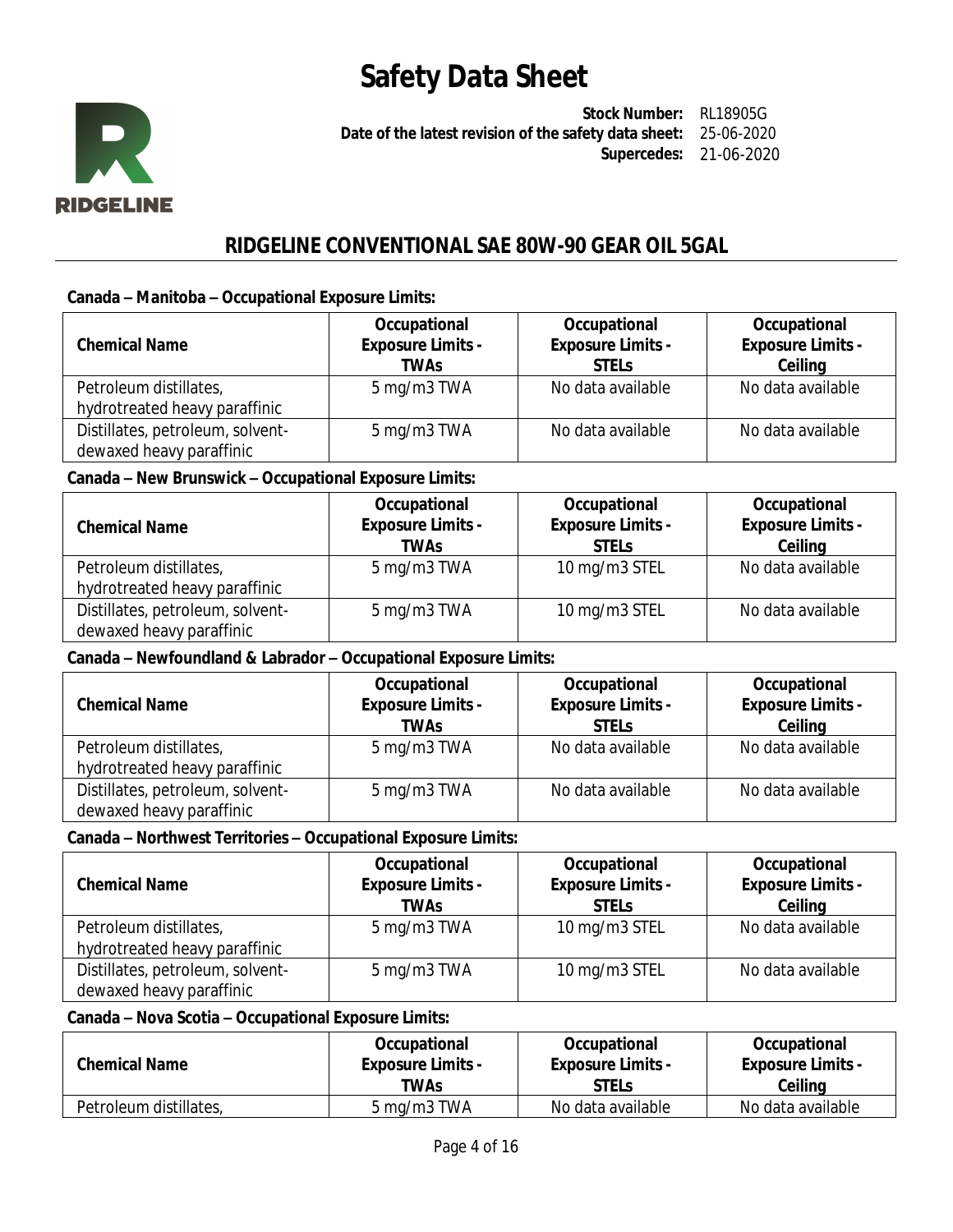

**Stock Number:** RL18905G **Date of the latest revision of the safety data sheet:** 25-06-2020 **Supercedes:** 21-06-2020

## **RIDGELINE CONVENTIONAL SAE 80W-90 GEAR OIL 5GAL**

#### **Canada – Manitoba – Occupational Exposure Limits:**

| <b>Chemical Name</b>             | Occupational<br><b>Exposure Limits -</b><br><b>TWAs</b> | Occupational<br><b>Exposure Limits -</b><br><b>STELS</b> | Occupational<br><b>Exposure Limits -</b><br>Ceiling |
|----------------------------------|---------------------------------------------------------|----------------------------------------------------------|-----------------------------------------------------|
| Petroleum distillates,           | 5 mg/m3 TWA                                             | No data available                                        | No data available                                   |
| hydrotreated heavy paraffinic    |                                                         |                                                          |                                                     |
| Distillates, petroleum, solvent- | 5 mg/m3 TWA                                             | No data available                                        | No data available                                   |
| dewaxed heavy paraffinic         |                                                         |                                                          |                                                     |

#### **Canada – New Brunswick – Occupational Exposure Limits:**

| <b>Chemical Name</b>             | Occupational<br><b>Exposure Limits -</b><br><b>TWAs</b> | Occupational<br><b>Exposure Limits -</b><br><b>STELS</b> | Occupational<br><b>Exposure Limits -</b><br>Ceiling |
|----------------------------------|---------------------------------------------------------|----------------------------------------------------------|-----------------------------------------------------|
| Petroleum distillates,           | 5 mg/m3 TWA                                             | 10 mg/m3 STEL                                            | No data available                                   |
| hydrotreated heavy paraffinic    |                                                         |                                                          |                                                     |
| Distillates, petroleum, solvent- | 5 mg/m3 TWA                                             | 10 mg/m3 STEL                                            | No data available                                   |
| dewaxed heavy paraffinic         |                                                         |                                                          |                                                     |

#### **Canada – Newfoundland & Labrador – Occupational Exposure Limits:**

| <b>Chemical Name</b>             | Occupational<br><b>Exposure Limits -</b><br><b>TWAs</b> | Occupational<br><b>Exposure Limits -</b><br><b>STELS</b> | Occupational<br><b>Exposure Limits -</b><br>Ceiling |
|----------------------------------|---------------------------------------------------------|----------------------------------------------------------|-----------------------------------------------------|
| Petroleum distillates,           | 5 mg/m3 TWA                                             | No data available                                        | No data available                                   |
| hydrotreated heavy paraffinic    |                                                         |                                                          |                                                     |
| Distillates, petroleum, solvent- | 5 mg/m3 TWA                                             | No data available                                        | No data available                                   |
| dewaxed heavy paraffinic         |                                                         |                                                          |                                                     |

### **Canada – Northwest Territories – Occupational Exposure Limits:**

| <b>Chemical Name</b>             | Occupational<br><b>Exposure Limits -</b><br>TWAs | Occupational<br><b>Exposure Limits -</b><br><b>STELS</b> | Occupational<br><b>Exposure Limits -</b><br>Ceiling |
|----------------------------------|--------------------------------------------------|----------------------------------------------------------|-----------------------------------------------------|
| Petroleum distillates,           | 5 mg/m3 TWA                                      | 10 mg/m3 STEL                                            | No data available                                   |
| hydrotreated heavy paraffinic    |                                                  |                                                          |                                                     |
| Distillates, petroleum, solvent- | 5 mg/m3 TWA                                      | 10 mg/m3 STEL                                            | No data available                                   |
| dewaxed heavy paraffinic         |                                                  |                                                          |                                                     |

### **Canada – Nova Scotia – Occupational Exposure Limits:**

| <b>Chemical Name</b>   | Occupational             | Occupational             | Occupational             |
|------------------------|--------------------------|--------------------------|--------------------------|
|                        | <b>Exposure Limits -</b> | <b>Exposure Limits -</b> | <b>Exposure Limits -</b> |
|                        | TWAs                     | <b>STELs</b>             | Ceiling                  |
| Petroleum distillates, | 5 mg/m3 TWA              | No data available        | No data available        |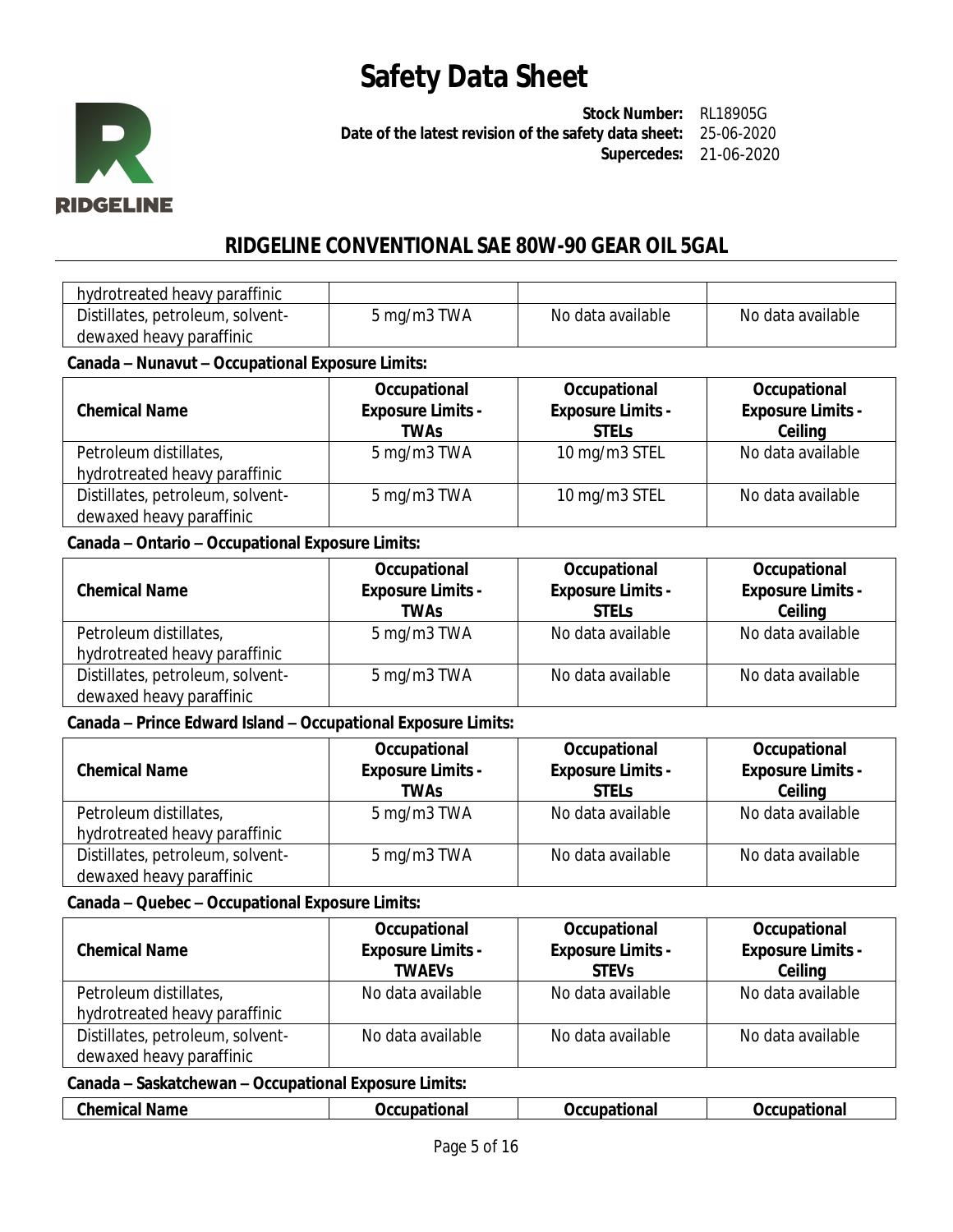

**Stock Number:** RL18905G **Date of the latest revision of the safety data sheet:** 25-06-2020 **Supercedes:** 21-06-2020

## **RIDGELINE CONVENTIONAL SAE 80W-90 GEAR OIL 5GAL**

| hydrotreated heavy paraffinic    |             |                   |                   |
|----------------------------------|-------------|-------------------|-------------------|
| Distillates, petroleum, solvent- | 5 mg/m3 TWA | No data available | No data available |
| dewaxed heavy paraffinic         |             |                   |                   |

### **Canada – Nunavut – Occupational Exposure Limits:**

| <b>Chemical Name</b>             | Occupational<br><b>Exposure Limits -</b><br>TWAs | Occupational<br><b>Exposure Limits -</b><br><b>STELS</b> | Occupational<br><b>Exposure Limits -</b><br>Ceiling |
|----------------------------------|--------------------------------------------------|----------------------------------------------------------|-----------------------------------------------------|
| Petroleum distillates,           | 5 mg/m3 TWA                                      | 10 mg/m3 STEL                                            | No data available                                   |
| hydrotreated heavy paraffinic    |                                                  |                                                          |                                                     |
| Distillates, petroleum, solvent- | 5 mg/m3 TWA                                      | 10 mg/m3 STEL                                            | No data available                                   |
| dewaxed heavy paraffinic         |                                                  |                                                          |                                                     |

### **Canada – Ontario – Occupational Exposure Limits:**

| <b>Chemical Name</b>             | Occupational<br><b>Exposure Limits -</b><br>TWAs | Occupational<br><b>Exposure Limits -</b><br><b>STELS</b> | Occupational<br><b>Exposure Limits -</b><br>Ceiling |
|----------------------------------|--------------------------------------------------|----------------------------------------------------------|-----------------------------------------------------|
| Petroleum distillates,           | 5 mg/m3 TWA                                      | No data available                                        | No data available                                   |
| hydrotreated heavy paraffinic    |                                                  |                                                          |                                                     |
| Distillates, petroleum, solvent- | 5 mg/m3 TWA                                      | No data available                                        | No data available                                   |
| dewaxed heavy paraffinic         |                                                  |                                                          |                                                     |

### **Canada – Prince Edward Island – Occupational Exposure Limits:**

| <b>Chemical Name</b>             | Occupational<br><b>Exposure Limits -</b><br>TWAs | Occupational<br><b>Exposure Limits -</b><br><b>STELS</b> | Occupational<br><b>Exposure Limits -</b><br>Ceiling |
|----------------------------------|--------------------------------------------------|----------------------------------------------------------|-----------------------------------------------------|
| Petroleum distillates,           | 5 mg/m3 TWA                                      | No data available                                        | No data available                                   |
| hydrotreated heavy paraffinic    |                                                  |                                                          |                                                     |
| Distillates, petroleum, solvent- | 5 mg/m3 TWA                                      | No data available                                        | No data available                                   |
| dewaxed heavy paraffinic         |                                                  |                                                          |                                                     |

### **Canada – Quebec – Occupational Exposure Limits:**

| <b>Chemical Name</b>             | Occupational<br><b>Exposure Limits -</b><br><b>TWAEVS</b> | Occupational<br><b>Exposure Limits -</b><br><b>STEVS</b> | Occupational<br><b>Exposure Limits -</b><br>Ceiling |
|----------------------------------|-----------------------------------------------------------|----------------------------------------------------------|-----------------------------------------------------|
| Petroleum distillates,           | No data available                                         | No data available                                        | No data available                                   |
| hydrotreated heavy paraffinic    |                                                           |                                                          |                                                     |
| Distillates, petroleum, solvent- | No data available                                         | No data available                                        | No data available                                   |
| dewaxed heavy paraffinic         |                                                           |                                                          |                                                     |

#### **Canada – Saskatchewan – Occupational Exposure Limits:**

| $\mathbf{m}_{\mathbf{L}}$<br>----<br><b>Name</b><br>…ne∽ | nno.<br>. JCC<br>ліа | $-1$<br><b>ona</b> | `ational<br>.<br>UC.<br>. |
|----------------------------------------------------------|----------------------|--------------------|---------------------------|
|----------------------------------------------------------|----------------------|--------------------|---------------------------|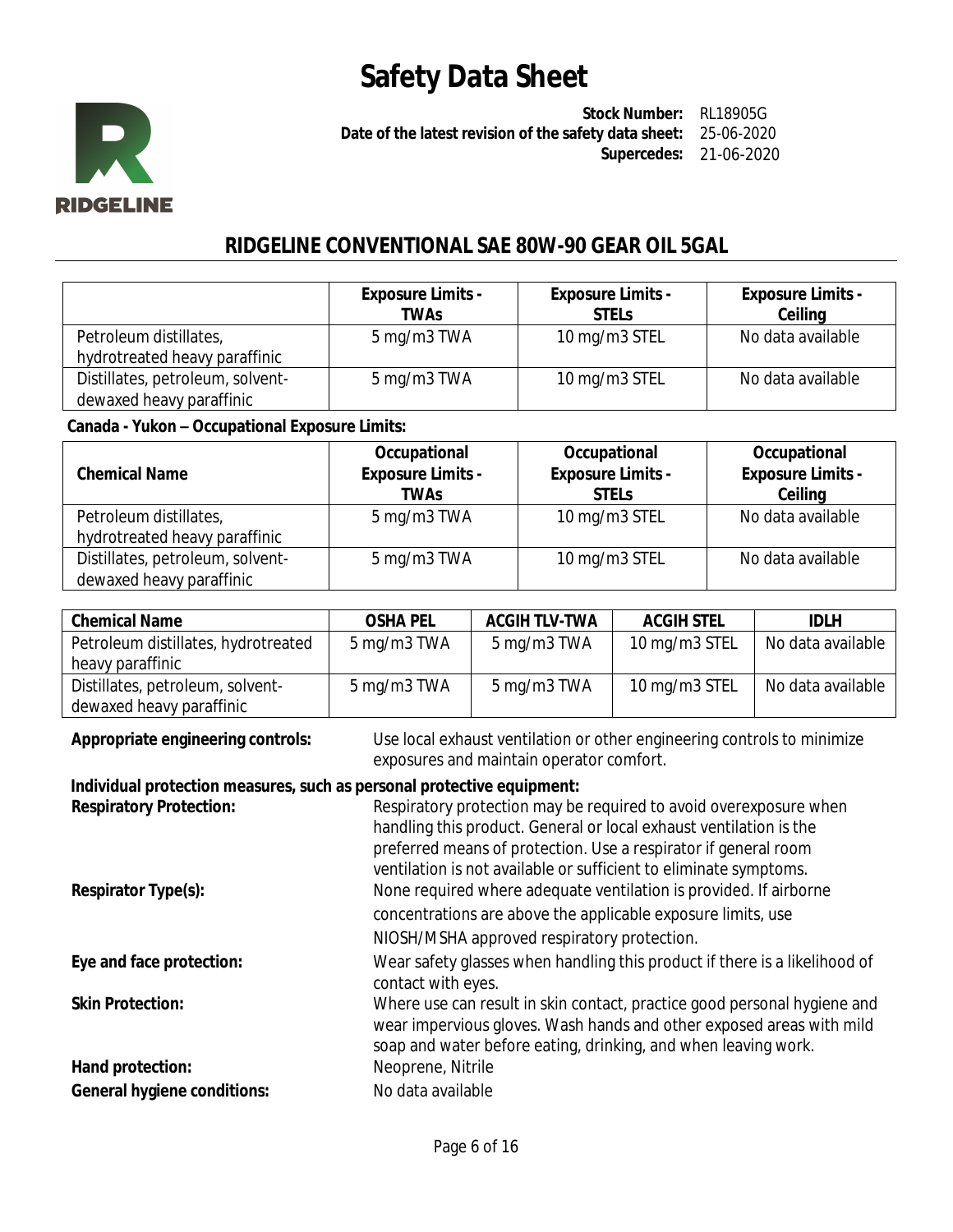

**Stock Number:** RL18905G **Date of the latest revision of the safety data sheet:** 25-06-2020 **Supercedes:** 21-06-2020

### **RIDGELINE CONVENTIONAL SAE 80W-90 GEAR OIL 5GAL**

|                                                              | <b>Exposure Limits -</b><br>TWAs | <b>Exposure Limits -</b><br><b>STELS</b> | <b>Exposure Limits -</b><br>Ceiling |
|--------------------------------------------------------------|----------------------------------|------------------------------------------|-------------------------------------|
| Petroleum distillates,<br>hydrotreated heavy paraffinic      | 5 mg/m3 TWA                      | 10 mg/m3 STEL                            | No data available                   |
| Distillates, petroleum, solvent-<br>dewaxed heavy paraffinic | 5 mg/m3 TWA                      | 10 mg/m3 STEL                            | No data available                   |

### **Canada - Yukon – Occupational Exposure Limits:**

| <b>Chemical Name</b>                                         | Occupational<br><b>Exposure Limits -</b><br><b>TWAs</b> | Occupational<br><b>Exposure Limits -</b><br><b>STELS</b> | Occupational<br><b>Exposure Limits -</b><br>Ceiling |
|--------------------------------------------------------------|---------------------------------------------------------|----------------------------------------------------------|-----------------------------------------------------|
| Petroleum distillates,                                       | 5 mg/m3 TWA                                             | 10 mg/m3 STEL                                            | No data available                                   |
| hydrotreated heavy paraffinic                                |                                                         |                                                          |                                                     |
| Distillates, petroleum, solvent-<br>dewaxed heavy paraffinic | 5 mg/m3 TWA                                             | 10 mg/m3 STEL                                            | No data available                                   |

| <b>Chemical Name</b>                | <b>OSHA PEL</b> | <b>ACGIH TLV-TWA</b> | <b>ACGIH STEL</b> | <b>IDLH</b>       |
|-------------------------------------|-----------------|----------------------|-------------------|-------------------|
| Petroleum distillates, hydrotreated | 5 mg/m3 TWA     | 5 mg/m3 TWA          | 10 mg/m3 STEL     | No data available |
| heavy paraffinic                    |                 |                      |                   |                   |
| Distillates, petroleum, solvent-    | 5 mg/m3 TWA     | 5 mg/m3 TWA          | 10 mg/m3 STEL     | No data available |
| dewaxed heavy paraffinic            |                 |                      |                   |                   |

**Appropriate engineering controls:** Use local exhaust ventilation or other engineering controls to minimize exposures and maintain operator comfort.

### **Individual protection measures, such as personal protective equipment:**

| <b>Respiratory Protection:</b>     | Respiratory protection may be required to avoid overexposure when                                                                                                                                                  |
|------------------------------------|--------------------------------------------------------------------------------------------------------------------------------------------------------------------------------------------------------------------|
|                                    | handling this product. General or local exhaust ventilation is the                                                                                                                                                 |
|                                    | preferred means of protection. Use a respirator if general room                                                                                                                                                    |
|                                    | ventilation is not available or sufficient to eliminate symptoms.                                                                                                                                                  |
| Respirator Type(s):                | None required where adequate ventilation is provided. If airborne                                                                                                                                                  |
|                                    | concentrations are above the applicable exposure limits, use                                                                                                                                                       |
|                                    | NIOSH/MSHA approved respiratory protection.                                                                                                                                                                        |
| Eye and face protection:           | Wear safety glasses when handling this product if there is a likelihood of                                                                                                                                         |
|                                    | contact with eyes.                                                                                                                                                                                                 |
| <b>Skin Protection:</b>            | Where use can result in skin contact, practice good personal hygiene and<br>wear impervious gloves. Wash hands and other exposed areas with mild<br>soap and water before eating, drinking, and when leaving work. |
| Hand protection:                   | Neoprene, Nitrile                                                                                                                                                                                                  |
| <b>General hygiene conditions:</b> | No data available                                                                                                                                                                                                  |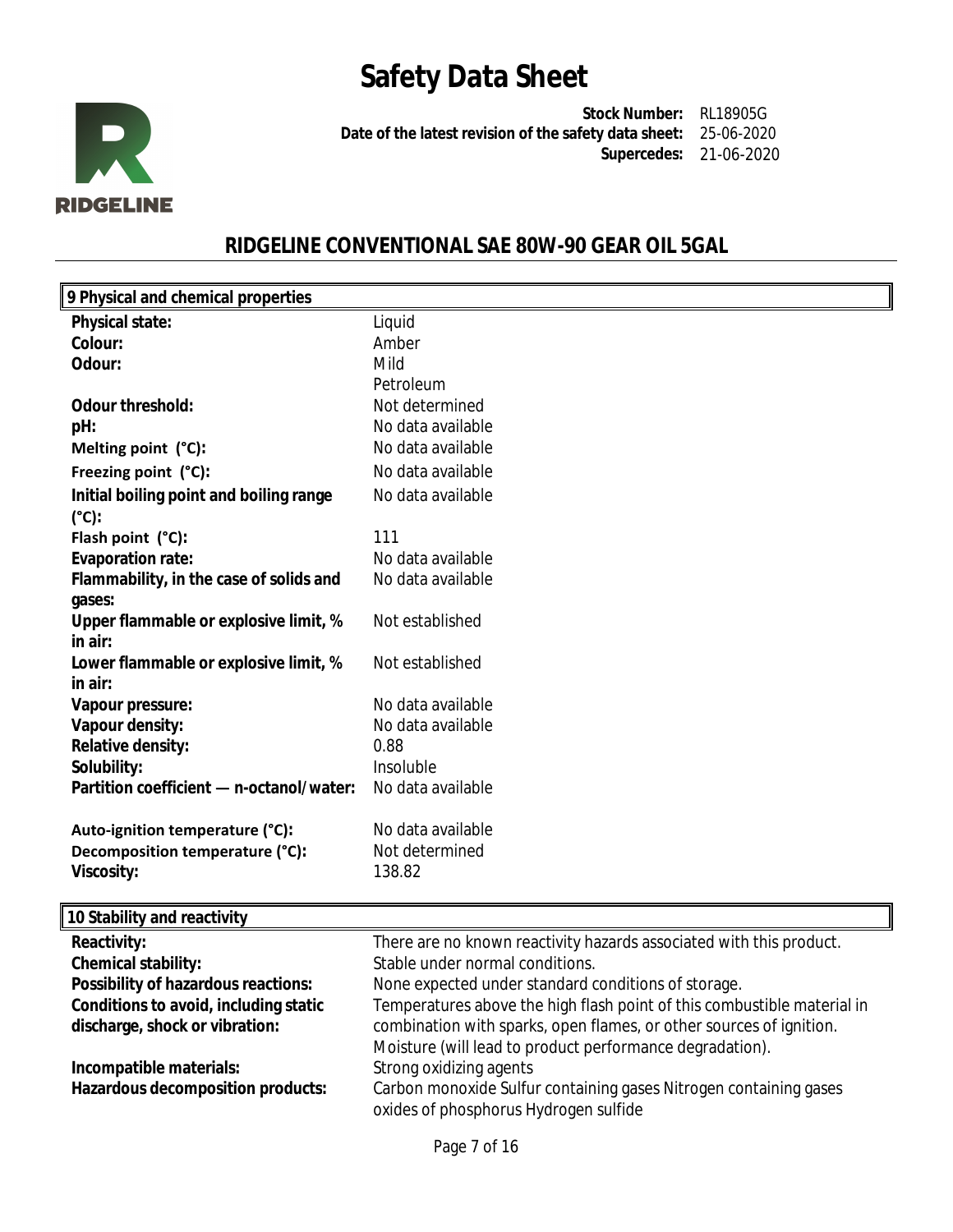

**Stock Number:** RL18905G **Date of the latest revision of the safety data sheet:** 25-06-2020 **Supercedes:** 21-06-2020

## **RIDGELINE CONVENTIONAL SAE 80W-90 GEAR OIL 5GAL**

| 9 Physical and chemical properties       |                   |
|------------------------------------------|-------------------|
| <b>Physical state:</b>                   | Liquid            |
| Colour:                                  | Amber             |
| Odour:                                   | Mild              |
|                                          | Petroleum         |
| <b>Odour threshold:</b>                  | Not determined    |
| pH:                                      | No data available |
| Melting point (°C):                      | No data available |
| Freezing point (°C):                     | No data available |
| Initial boiling point and boiling range  | No data available |
| (°C):                                    |                   |
| Flash point (°C):                        | 111               |
| <b>Evaporation rate:</b>                 | No data available |
| Flammability, in the case of solids and  | No data available |
| gases:                                   |                   |
| Upper flammable or explosive limit, %    | Not established   |
| in air:                                  |                   |
| Lower flammable or explosive limit, %    | Not established   |
| in air:                                  |                   |
| Vapour pressure:                         | No data available |
| Vapour density:                          | No data available |
| <b>Relative density:</b>                 | 0.88              |
| Solubility:                              | Insoluble         |
| Partition coefficient - n-octanol/water: | No data available |
| Auto-ignition temperature (°C):          | No data available |
| Decomposition temperature (°C):          | Not determined    |
| <b>Viscosity:</b>                        | 138.82            |
|                                          |                   |
|                                          |                   |

| 10 Stability and reactivity           |                                                                         |
|---------------------------------------|-------------------------------------------------------------------------|
| Reactivity:                           | There are no known reactivity hazards associated with this product.     |
| <b>Chemical stability:</b>            | Stable under normal conditions.                                         |
| Possibility of hazardous reactions:   | None expected under standard conditions of storage.                     |
| Conditions to avoid, including static | Temperatures above the high flash point of this combustible material in |
| discharge, shock or vibration:        | combination with sparks, open flames, or other sources of ignition.     |
|                                       | Moisture (will lead to product performance degradation).                |
| Incompatible materials:               | Strong oxidizing agents                                                 |
| Hazardous decomposition products:     | Carbon monoxide Sulfur containing gases Nitrogen containing gases       |
|                                       | oxides of phosphorus Hydrogen sulfide                                   |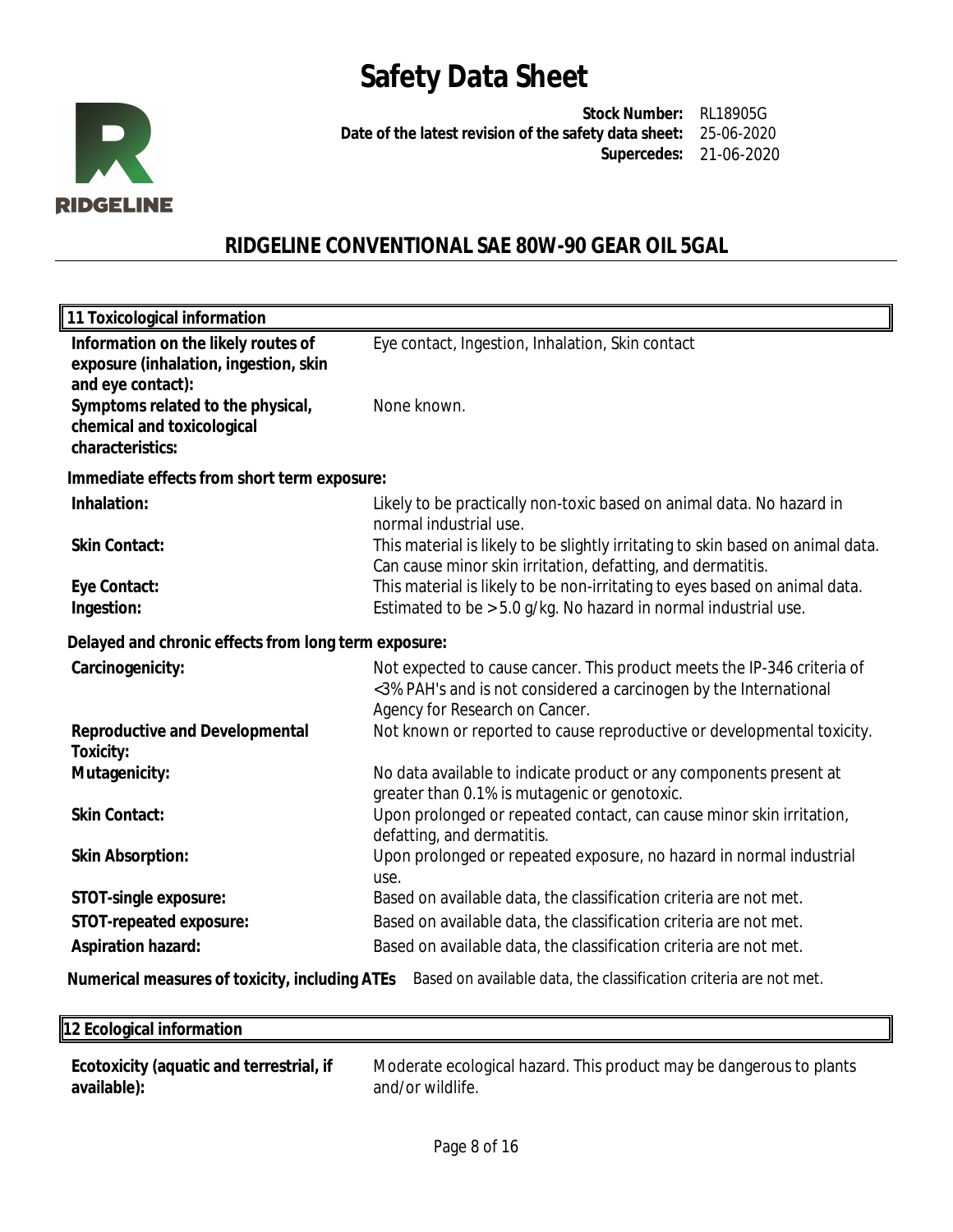

**Stock Number:** RL18905G **Date of the latest revision of the safety data sheet:** 25-06-2020 **Supercedes:** 21-06-2020

## **RIDGELINE CONVENTIONAL SAE 80W-90 GEAR OIL 5GAL**

| 11 Toxicological information                                                                      |                                                                                                                                                                                |
|---------------------------------------------------------------------------------------------------|--------------------------------------------------------------------------------------------------------------------------------------------------------------------------------|
| Information on the likely routes of<br>exposure (inhalation, ingestion, skin<br>and eye contact): | Eye contact, Ingestion, Inhalation, Skin contact                                                                                                                               |
| Symptoms related to the physical,<br>chemical and toxicological<br>characteristics:               | None known.                                                                                                                                                                    |
| Immediate effects from short term exposure:                                                       |                                                                                                                                                                                |
| Inhalation:                                                                                       | Likely to be practically non-toxic based on animal data. No hazard in<br>normal industrial use.                                                                                |
| <b>Skin Contact:</b>                                                                              | This material is likely to be slightly irritating to skin based on animal data.<br>Can cause minor skin irritation, defatting, and dermatitis.                                 |
| Eye Contact:<br>Ingestion:                                                                        | This material is likely to be non-irritating to eyes based on animal data.<br>Estimated to be > 5.0 g/kg. No hazard in normal industrial use.                                  |
| Delayed and chronic effects from long term exposure:                                              |                                                                                                                                                                                |
| Carcinogenicity:                                                                                  | Not expected to cause cancer. This product meets the IP-346 criteria of<br><3% PAH's and is not considered a carcinogen by the International<br>Agency for Research on Cancer. |
| <b>Reproductive and Developmental</b><br><b>Toxicity:</b>                                         | Not known or reported to cause reproductive or developmental toxicity.                                                                                                         |
| Mutagenicity:                                                                                     | No data available to indicate product or any components present at<br>greater than 0.1% is mutagenic or genotoxic.                                                             |
| <b>Skin Contact:</b>                                                                              | Upon prolonged or repeated contact, can cause minor skin irritation,<br>defatting, and dermatitis.                                                                             |
| <b>Skin Absorption:</b>                                                                           | Upon prolonged or repeated exposure, no hazard in normal industrial<br>use.                                                                                                    |
| <b>STOT-single exposure:</b>                                                                      | Based on available data, the classification criteria are not met.                                                                                                              |
| STOT-repeated exposure:                                                                           | Based on available data, the classification criteria are not met.                                                                                                              |
| <b>Aspiration hazard:</b>                                                                         | Based on available data, the classification criteria are not met.                                                                                                              |

**Numerical measures of toxicity, including ATEs** Based on available data, the classification criteria are not met.

| 12 Ecological information                |                                                                     |
|------------------------------------------|---------------------------------------------------------------------|
| Ecotoxicity (aquatic and terrestrial, if | Moderate ecological hazard. This product may be dangerous to plants |

| Ecotoxicity (aquatic and terrestrial, if | Moderate ecological hazard. This |
|------------------------------------------|----------------------------------|
| available):                              | and/or wildlife.                 |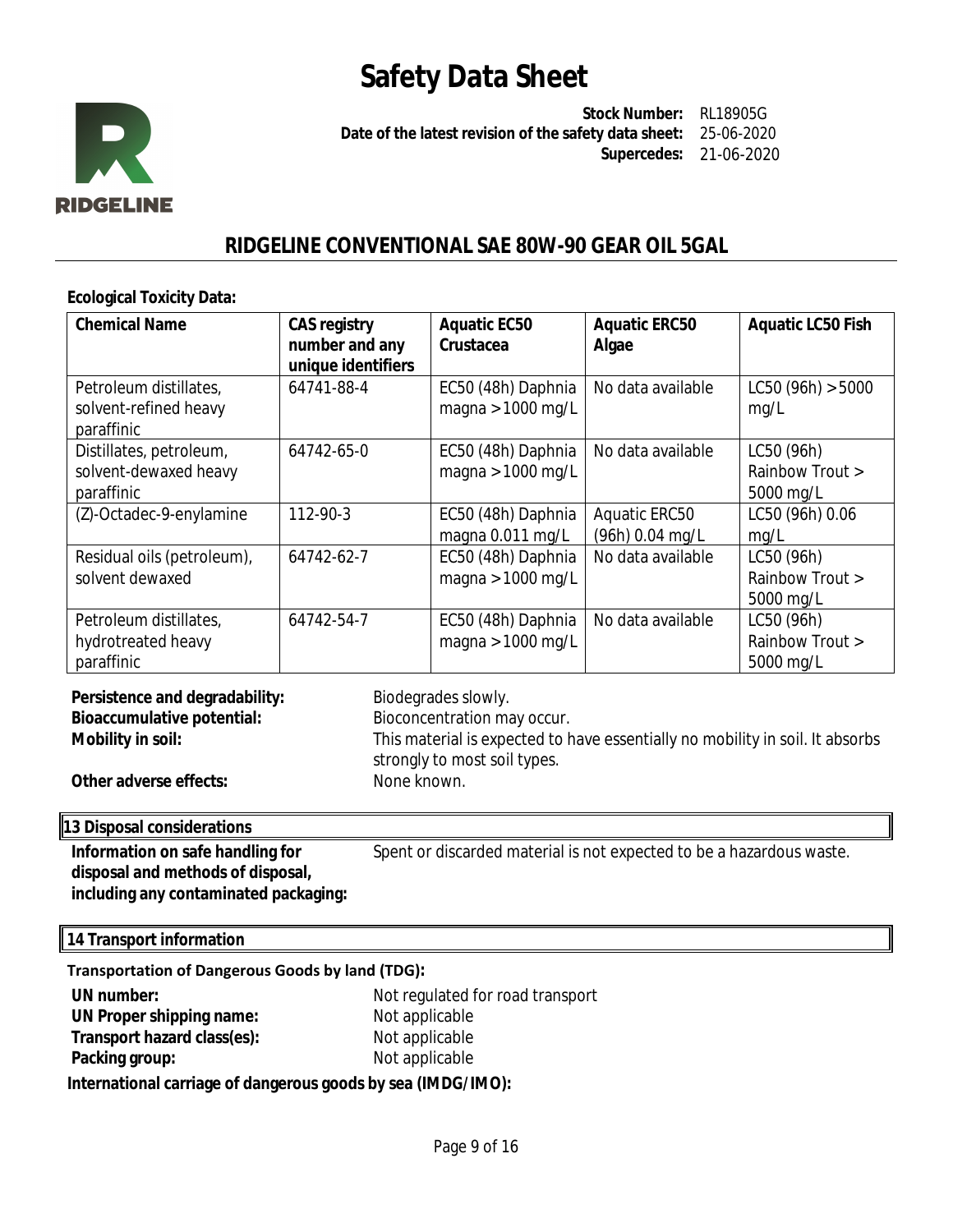

**Stock Number:** RL18905G **Date of the latest revision of the safety data sheet:** 25-06-2020 **Supercedes:** 21-06-2020

### **RIDGELINE CONVENTIONAL SAE 80W-90 GEAR OIL 5GAL**

#### **Ecological Toxicity Data:**

| <b>Chemical Name</b>                                           | <b>CAS registry</b><br>number and any<br>unique identifiers | <b>Aquatic EC50</b><br>Crustacea          | <b>Aquatic ERC50</b><br>Algae    | <b>Aquatic LC50 Fish</b>                   |
|----------------------------------------------------------------|-------------------------------------------------------------|-------------------------------------------|----------------------------------|--------------------------------------------|
| Petroleum distillates,<br>solvent-refined heavy                | 64741-88-4                                                  | EC50 (48h) Daphnia<br>magna > $1000$ mg/L | No data available                | LC50 (96h) > 5000<br>mq/L                  |
| paraffinic                                                     |                                                             |                                           |                                  |                                            |
| Distillates, petroleum,<br>solvent-dewaxed heavy<br>paraffinic | 64742-65-0                                                  | EC50 (48h) Daphnia<br>magna > $1000$ mg/L | No data available                | LC50 (96h)<br>Rainbow Trout ><br>5000 mg/L |
| (Z)-Octadec-9-enylamine                                        | 112-90-3                                                    | EC50 (48h) Daphnia<br>magna 0.011 mg/L    | Aquatic ERC50<br>(96h) 0.04 mg/L | LC50 (96h) 0.06<br>mg/L                    |
| Residual oils (petroleum),                                     | 64742-62-7                                                  | EC50 (48h) Daphnia                        | No data available                | LC50 (96h)                                 |
| solvent dewaxed                                                |                                                             | magna > $1000$ mg/L                       |                                  | Rainbow Trout >                            |
|                                                                |                                                             |                                           |                                  | 5000 mg/L                                  |
| Petroleum distillates,                                         | 64742-54-7                                                  | EC50 (48h) Daphnia                        | No data available                | LC50 (96h)                                 |
| hydrotreated heavy                                             |                                                             | magna $> 1000$ mg/L                       |                                  | Rainbow Trout >                            |
| paraffinic                                                     |                                                             |                                           |                                  | 5000 mg/L                                  |

| Persistence and degradability:    | Biodegrades slowly.                                                                                           |
|-----------------------------------|---------------------------------------------------------------------------------------------------------------|
| <b>Bioaccumulative potential:</b> | Bioconcentration may occur.                                                                                   |
| Mobility in soil:                 | This material is expected to have essentially no mobility in soil. It absorbs<br>strongly to most soil types. |
| Other adverse effects:            | None known.                                                                                                   |

### **13 Disposal considerations**

**Information on safe handling for disposal and methods of disposal, including any contaminated packaging:** Spent or discarded material is not expected to be a hazardous waste.

**14 Transport information**

| <b>Transportation of Dangerous Goods by land (TDG):</b> |                                  |  |  |  |  |
|---------------------------------------------------------|----------------------------------|--|--|--|--|
| UN number:                                              | Not regulated for road transport |  |  |  |  |
| UN Proper shipping name:                                | Not applicable                   |  |  |  |  |
| Transport hazard class(es):                             | Not applicable                   |  |  |  |  |
| Packing group:                                          | Not applicable                   |  |  |  |  |

**International carriage of dangerous goods by sea (IMDG/IMO):**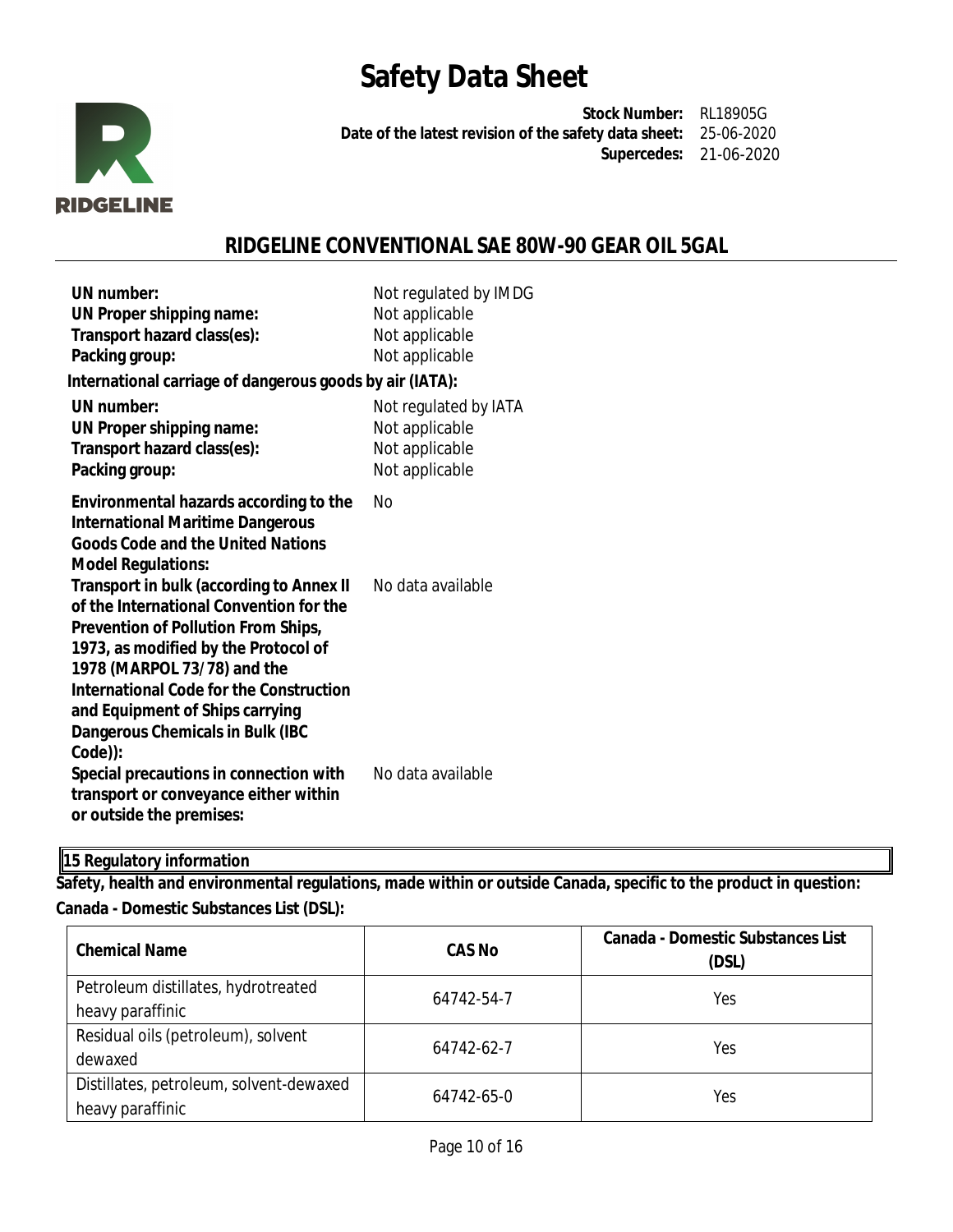

**Stock Number:** RL18905G **Date of the latest revision of the safety data sheet:** 25-06-2020 **Supercedes:** 21-06-2020

## **RIDGELINE CONVENTIONAL SAE 80W-90 GEAR OIL 5GAL**

| UN number:<br>UN Proper shipping name:<br>Transport hazard class(es):<br>Packing group:                                                                                                                                                                                                                                                             | Not regulated by IMDG<br>Not applicable<br>Not applicable<br>Not applicable |
|-----------------------------------------------------------------------------------------------------------------------------------------------------------------------------------------------------------------------------------------------------------------------------------------------------------------------------------------------------|-----------------------------------------------------------------------------|
| International carriage of dangerous goods by air (IATA):<br>UN number:<br>UN Proper shipping name:<br>Transport hazard class(es):<br>Packing group:                                                                                                                                                                                                 | Not regulated by IATA<br>Not applicable<br>Not applicable<br>Not applicable |
| Environmental hazards according to the<br><b>International Maritime Dangerous</b><br><b>Goods Code and the United Nations</b><br><b>Model Regulations:</b>                                                                                                                                                                                          | Nο                                                                          |
| <b>Transport in bulk (according to Annex II</b><br>of the International Convention for the<br><b>Prevention of Pollution From Ships,</b><br>1973, as modified by the Protocol of<br>1978 (MARPOL 73/78) and the<br><b>International Code for the Construction</b><br>and Equipment of Ships carrying<br>Dangerous Chemicals in Bulk (IBC<br>Code)): | No data available                                                           |
| Special precautions in connection with<br>transport or conveyance either within<br>or outside the premises:                                                                                                                                                                                                                                         | No data available                                                           |

**15 Regulatory information**

**Safety, health and environmental regulations, made within or outside Canada, specific to the product in question: Canada - Domestic Substances List (DSL):**

| <b>Chemical Name</b>                    | <b>CAS No</b> |     |  |  |
|-----------------------------------------|---------------|-----|--|--|
| Petroleum distillates, hydrotreated     | 64742-54-7    | Yes |  |  |
| heavy paraffinic                        |               |     |  |  |
| Residual oils (petroleum), solvent      | 64742-62-7    | Yes |  |  |
| dewaxed                                 |               |     |  |  |
| Distillates, petroleum, solvent-dewaxed | 64742-65-0    | Yes |  |  |
| heavy paraffinic                        |               |     |  |  |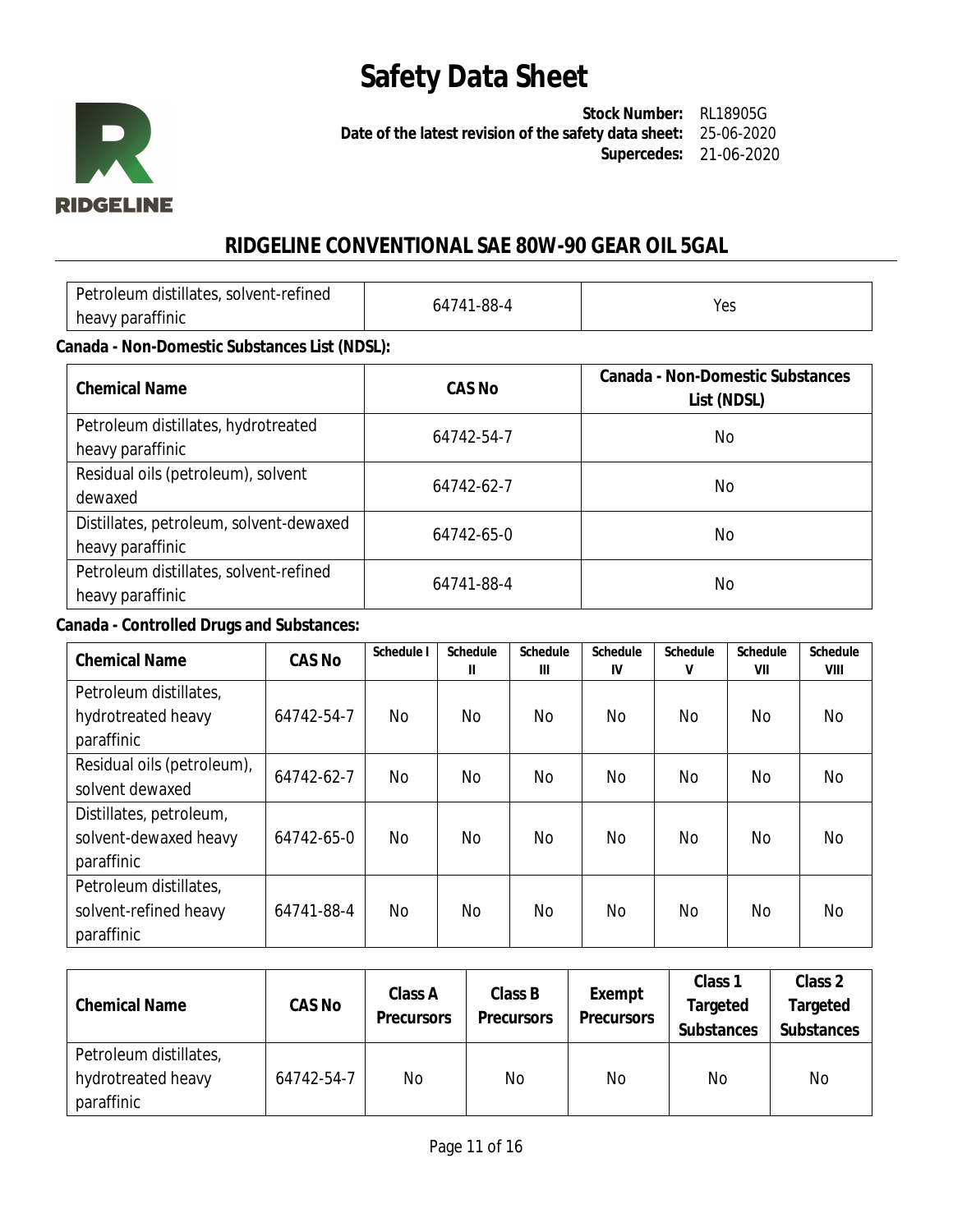

**Stock Number:** RL18905G **Date of the latest revision of the safety data sheet:** 25-06-2020 **Supercedes:** 21-06-2020

## **RIDGELINE CONVENTIONAL SAE 80W-90 GEAR OIL 5GAL**

| Petroleum distillates, solvent-refined | –88-∆<br>n4741 | YA⊆  |
|----------------------------------------|----------------|------|
| heavy paraffinic                       |                | ت ب⊺ |

### **Canada - Non-Domestic Substances List (NDSL):**

| <b>Chemical Name</b>                                        | <b>CAS No</b> | Canada - Non-Domestic Substances<br>List (NDSL) |
|-------------------------------------------------------------|---------------|-------------------------------------------------|
| Petroleum distillates, hydrotreated<br>heavy paraffinic     | 64742-54-7    | No                                              |
| Residual oils (petroleum), solvent<br>dewaxed               | 64742-62-7    | No                                              |
| Distillates, petroleum, solvent-dewaxed<br>heavy paraffinic | 64742-65-0    | No.                                             |
| Petroleum distillates, solvent-refined<br>heavy paraffinic  | 64741-88-4    | No                                              |

### **Canada - Controlled Drugs and Substances:**

| <b>Chemical Name</b>                                           | <b>CAS No</b> | Schedule I | <b>Schedule</b><br>Ш | <b>Schedule</b><br>Ш | <b>Schedule</b><br>IV | <b>Schedule</b><br>V | <b>Schedule</b><br>VII | <b>Schedule</b><br>VIII |
|----------------------------------------------------------------|---------------|------------|----------------------|----------------------|-----------------------|----------------------|------------------------|-------------------------|
| Petroleum distillates,<br>hydrotreated heavy<br>paraffinic     | 64742-54-7    | No         | No.                  | No.                  | No                    | No.                  | No.                    | No.                     |
| Residual oils (petroleum),<br>solvent dewaxed                  | 64742-62-7    | No.        | No                   | No                   | No                    | No.                  | No.                    | No.                     |
| Distillates, petroleum,<br>solvent-dewaxed heavy<br>paraffinic | 64742-65-0    | No.        | <b>No</b>            | No                   | No                    | <b>No</b>            | No.                    | No                      |
| Petroleum distillates,<br>solvent-refined heavy<br>paraffinic  | 64741-88-4    | No.        | <b>No</b>            | No                   | No                    | <b>No</b>            | No.                    | No.                     |

| <b>Chemical Name</b>   | <b>CAS No</b> | Class A<br><b>Precursors</b> | Class B<br><b>Precursors</b> | <b>Exempt</b><br><b>Precursors</b> | Class <sub>1</sub><br><b>Targeted</b><br><b>Substances</b> | Class 2<br>Targeted<br><b>Substances</b> |
|------------------------|---------------|------------------------------|------------------------------|------------------------------------|------------------------------------------------------------|------------------------------------------|
| Petroleum distillates, |               |                              |                              |                                    |                                                            |                                          |
| hydrotreated heavy     | 64742-54-7    | No                           | No                           | No                                 | No                                                         | <b>No</b>                                |
| paraffinic             |               |                              |                              |                                    |                                                            |                                          |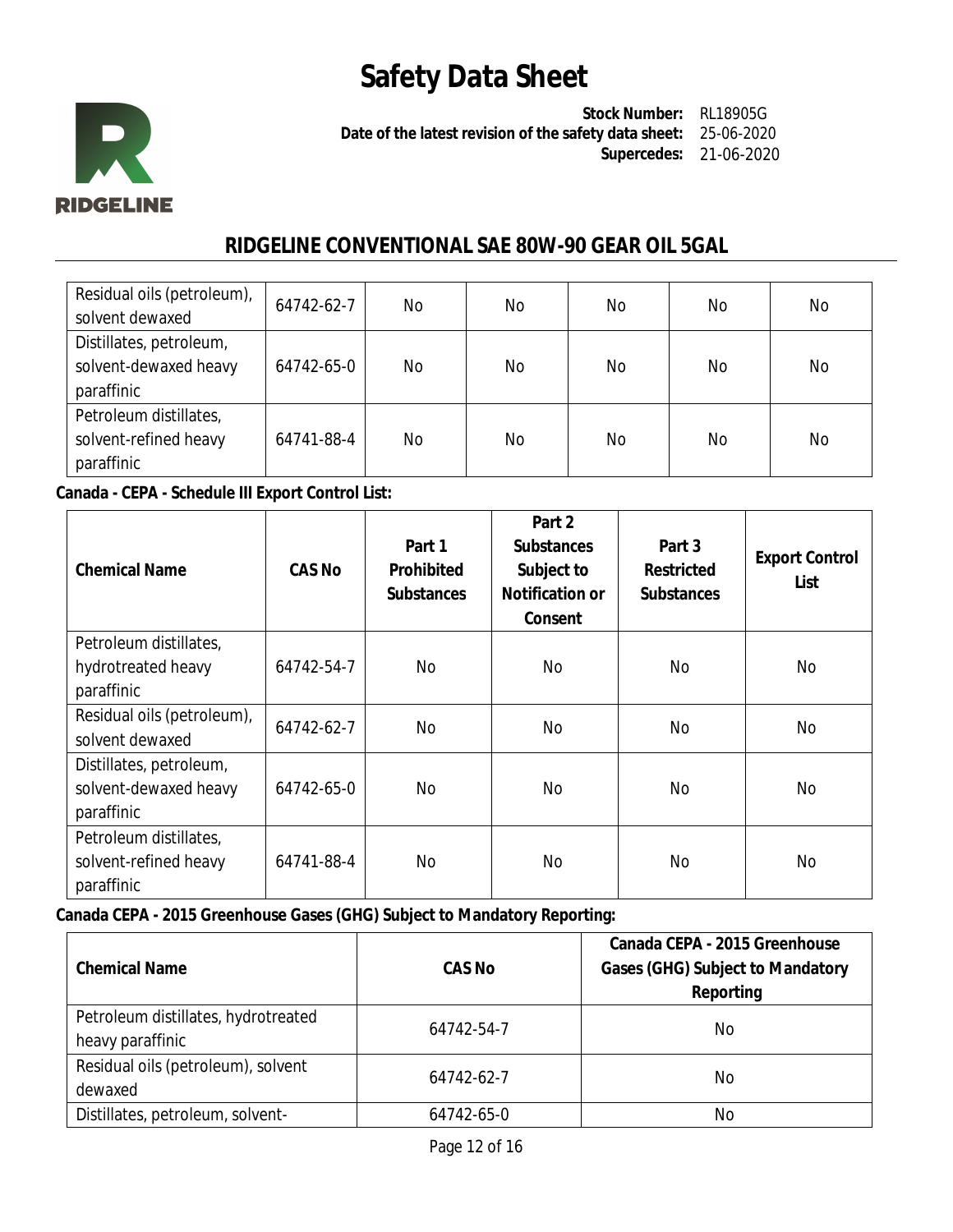

**Stock Number:** RL18905G **Date of the latest revision of the safety data sheet:** 25-06-2020 **Supercedes:** 21-06-2020

## **RIDGELINE CONVENTIONAL SAE 80W-90 GEAR OIL 5GAL**

| Residual oils (petroleum), | 64742-62-7 | No. | No | No | No | No. |
|----------------------------|------------|-----|----|----|----|-----|
| solvent dewaxed            |            |     |    |    |    |     |
| Distillates, petroleum,    |            |     |    |    |    |     |
| solvent-dewaxed heavy      | 64742-65-0 | No. | No | No | No | No  |
| paraffinic                 |            |     |    |    |    |     |
| Petroleum distillates,     |            |     |    |    |    |     |
| solvent-refined heavy      | 64741-88-4 | No. | No | No | No | No  |
| paraffinic                 |            |     |    |    |    |     |

**Canada - CEPA - Schedule III Export Control List:**

| <b>Chemical Name</b>                                           | <b>CAS No</b> | Part 1<br><b>Prohibited</b><br><b>Substances</b> | Part 2<br><b>Substances</b><br>Subject to<br><b>Notification or</b><br>Consent | Part 3<br><b>Restricted</b><br><b>Substances</b> | <b>Export Control</b><br>List |
|----------------------------------------------------------------|---------------|--------------------------------------------------|--------------------------------------------------------------------------------|--------------------------------------------------|-------------------------------|
| Petroleum distillates,                                         |               |                                                  |                                                                                |                                                  |                               |
| hydrotreated heavy<br>paraffinic                               | 64742-54-7    | No.                                              | No.                                                                            | No                                               | No.                           |
| Residual oils (petroleum),<br>solvent dewaxed                  | 64742-62-7    | <b>No</b>                                        | No                                                                             | <b>No</b>                                        | No                            |
| Distillates, petroleum,<br>solvent-dewaxed heavy<br>paraffinic | 64742-65-0    | <b>No</b>                                        | No.                                                                            | <b>No</b>                                        | <b>No</b>                     |
| Petroleum distillates,<br>solvent-refined heavy<br>paraffinic  | 64741-88-4    | <b>No</b>                                        | No.                                                                            | <b>No</b>                                        | <b>No</b>                     |

**Canada CEPA - 2015 Greenhouse Gases (GHG) Subject to Mandatory Reporting:**

| <b>Chemical Name</b>                                    | <b>CAS No</b> | Canada CEPA - 2015 Greenhouse<br><b>Gases (GHG) Subject to Mandatory</b><br>Reporting |
|---------------------------------------------------------|---------------|---------------------------------------------------------------------------------------|
| Petroleum distillates, hydrotreated<br>heavy paraffinic | 64742-54-7    | No                                                                                    |
| Residual oils (petroleum), solvent<br>dewaxed           | 64742-62-7    | No.                                                                                   |
| Distillates, petroleum, solvent-                        | 64742-65-0    | No                                                                                    |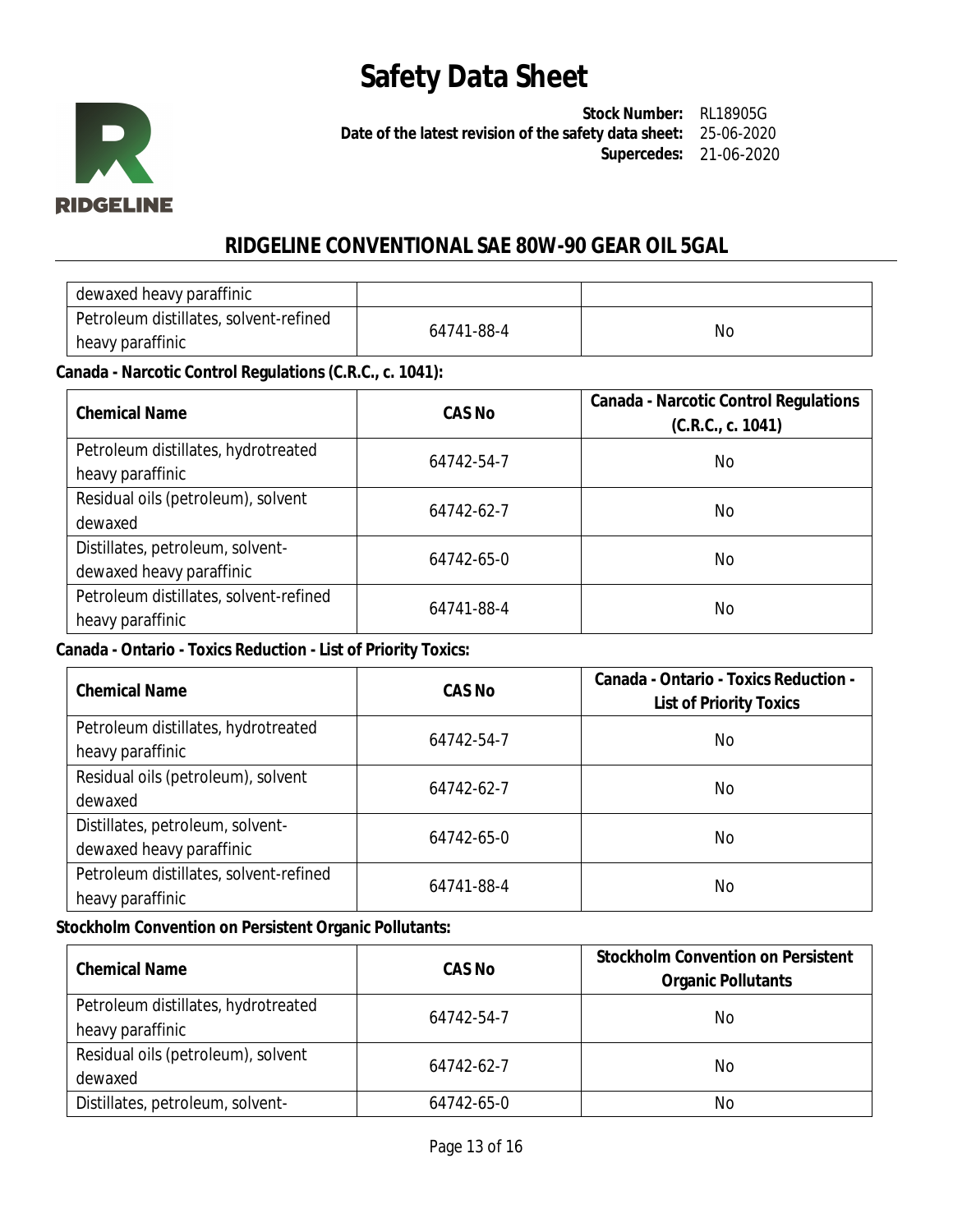

**Stock Number:** RL18905G **Date of the latest revision of the safety data sheet:** 25-06-2020 **Supercedes:** 21-06-2020

## **RIDGELINE CONVENTIONAL SAE 80W-90 GEAR OIL 5GAL**

| dewaxed heavy paraffinic               |            |    |
|----------------------------------------|------------|----|
| Petroleum distillates, solvent-refined | 64741-88-4 | Nс |
| heavy paraffinic                       |            |    |

### **Canada - Narcotic Control Regulations (C.R.C., c. 1041):**

| <b>Chemical Name</b>                                         | <b>CAS No</b> | <b>Canada - Narcotic Control Regulations</b><br>(C.R.C., c. 1041) |
|--------------------------------------------------------------|---------------|-------------------------------------------------------------------|
| Petroleum distillates, hydrotreated<br>heavy paraffinic      | 64742-54-7    | No.                                                               |
| Residual oils (petroleum), solvent<br>dewaxed                | 64742-62-7    | No                                                                |
| Distillates, petroleum, solvent-<br>dewaxed heavy paraffinic | 64742-65-0    | No                                                                |
| Petroleum distillates, solvent-refined<br>heavy paraffinic   | 64741-88-4    | No                                                                |

### **Canada - Ontario - Toxics Reduction - List of Priority Toxics:**

| <b>Chemical Name</b>                                         | <b>CAS No</b> | Canada - Ontario - Toxics Reduction -<br><b>List of Priority Toxics</b> |
|--------------------------------------------------------------|---------------|-------------------------------------------------------------------------|
| Petroleum distillates, hydrotreated<br>heavy paraffinic      | 64742-54-7    | No.                                                                     |
| Residual oils (petroleum), solvent<br>dewaxed                | 64742-62-7    | No.                                                                     |
| Distillates, petroleum, solvent-<br>dewaxed heavy paraffinic | 64742-65-0    | No.                                                                     |
| Petroleum distillates, solvent-refined<br>heavy paraffinic   | 64741-88-4    | No                                                                      |

### **Stockholm Convention on Persistent Organic Pollutants:**

| <b>Chemical Name</b>                | CAS No     | <b>Stockholm Convention on Persistent</b><br><b>Organic Pollutants</b> |
|-------------------------------------|------------|------------------------------------------------------------------------|
| Petroleum distillates, hydrotreated | 64742-54-7 | No                                                                     |
| heavy paraffinic                    |            |                                                                        |
| Residual oils (petroleum), solvent  | 64742-62-7 | No.                                                                    |
| dewaxed                             |            |                                                                        |
| Distillates, petroleum, solvent-    | 64742-65-0 | No                                                                     |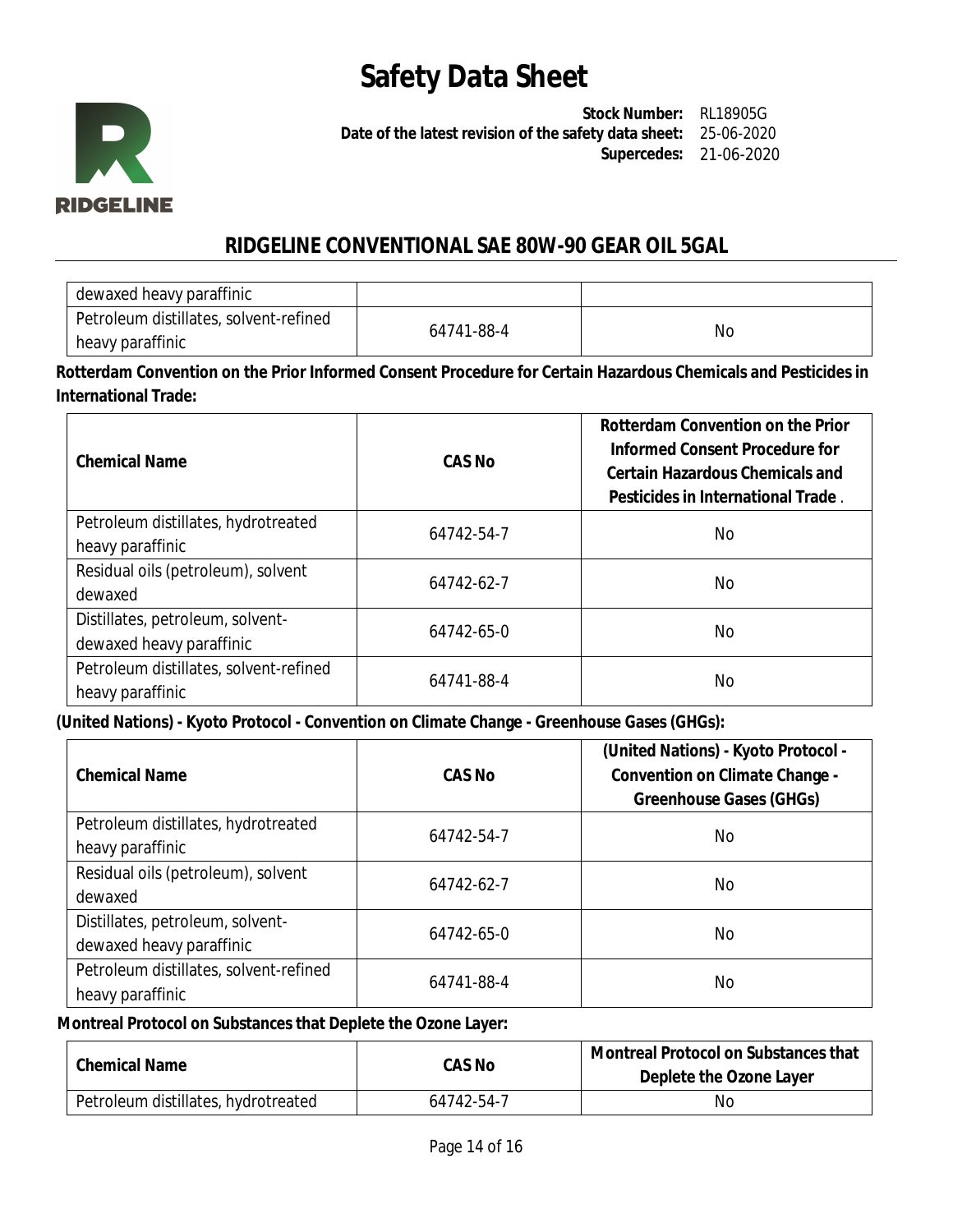

**Stock Number:** RL18905G **Date of the latest revision of the safety data sheet:** 25-06-2020 **Supercedes:** 21-06-2020

## **RIDGELINE CONVENTIONAL SAE 80W-90 GEAR OIL 5GAL**

| dewaxed heavy paraffinic               |            |           |
|----------------------------------------|------------|-----------|
| Petroleum distillates, solvent-refined | 64741-88-4 | <b>No</b> |
| ' heavy paraffinic                     |            |           |

**Rotterdam Convention on the Prior Informed Consent Procedure for Certain Hazardous Chemicals and Pesticides in International Trade:**

| <b>Chemical Name</b>                                         | <b>CAS No</b> | <b>Rotterdam Convention on the Prior</b><br>Informed Consent Procedure for<br><b>Certain Hazardous Chemicals and</b><br>Pesticides in International Trade. |
|--------------------------------------------------------------|---------------|------------------------------------------------------------------------------------------------------------------------------------------------------------|
| Petroleum distillates, hydrotreated<br>heavy paraffinic      | 64742-54-7    | No.                                                                                                                                                        |
| Residual oils (petroleum), solvent<br>dewaxed                | 64742-62-7    | No.                                                                                                                                                        |
| Distillates, petroleum, solvent-<br>dewaxed heavy paraffinic | 64742-65-0    | No.                                                                                                                                                        |
| Petroleum distillates, solvent-refined<br>heavy paraffinic   | 64741-88-4    | No.                                                                                                                                                        |

### **(United Nations) - Kyoto Protocol - Convention on Climate Change - Greenhouse Gases (GHGs):**

| <b>Chemical Name</b>                   | CAS No     | (United Nations) - Kyoto Protocol -<br><b>Convention on Climate Change -</b><br><b>Greenhouse Gases (GHGs)</b> |
|----------------------------------------|------------|----------------------------------------------------------------------------------------------------------------|
| Petroleum distillates, hydrotreated    | 64742-54-7 | No.                                                                                                            |
| heavy paraffinic                       |            |                                                                                                                |
| Residual oils (petroleum), solvent     | 64742-62-7 | No.                                                                                                            |
| dewaxed                                |            |                                                                                                                |
| Distillates, petroleum, solvent-       | 64742-65-0 | No.                                                                                                            |
| dewaxed heavy paraffinic               |            |                                                                                                                |
| Petroleum distillates, solvent-refined | 64741-88-4 | No                                                                                                             |
| heavy paraffinic                       |            |                                                                                                                |

#### **Montreal Protocol on Substances that Deplete the Ozone Layer:**

| <b>Chemical Name</b>                | <b>CAS No</b> | Montreal Protocol on Substances that<br>Deplete the Ozone Layer |
|-------------------------------------|---------------|-----------------------------------------------------------------|
| Petroleum distillates, hydrotreated | 64742-54-7    | Νo                                                              |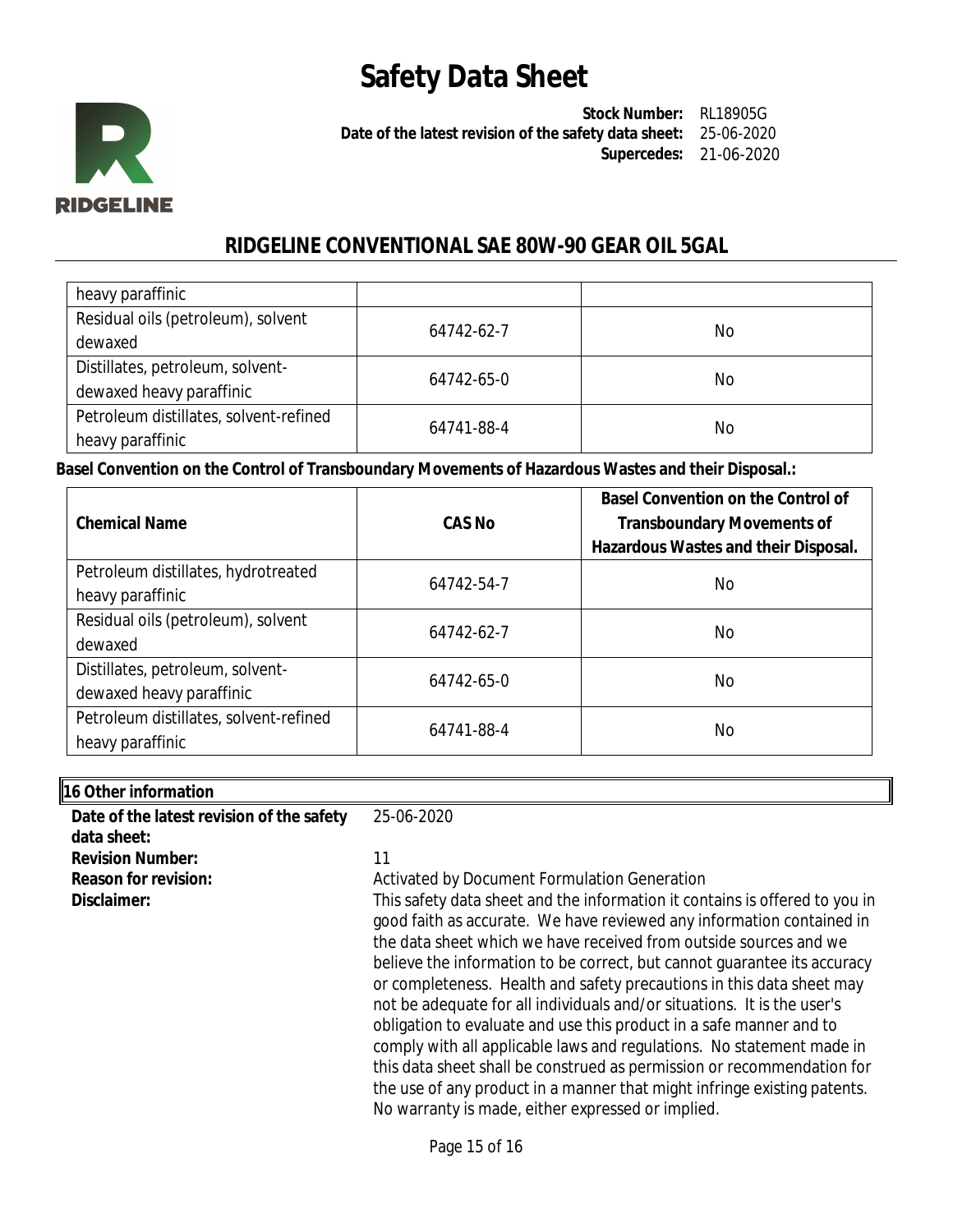

**Stock Number:** RL18905G **Date of the latest revision of the safety data sheet:** 25-06-2020 **Supercedes:** 21-06-2020

## **RIDGELINE CONVENTIONAL SAE 80W-90 GEAR OIL 5GAL**

| heavy paraffinic                       |            |    |
|----------------------------------------|------------|----|
| Residual oils (petroleum), solvent     | 64742-62-7 | No |
| dewaxed                                |            |    |
| Distillates, petroleum, solvent-       | 64742-65-0 | No |
| dewaxed heavy paraffinic               |            |    |
| Petroleum distillates, solvent-refined |            |    |
| heavy paraffinic                       | 64741-88-4 | No |

**Basel Convention on the Control of Transboundary Movements of Hazardous Wastes and their Disposal.:**

| <b>Chemical Name</b>                                         | CAS No     | <b>Basel Convention on the Control of</b><br><b>Transboundary Movements of</b><br>Hazardous Wastes and their Disposal. |
|--------------------------------------------------------------|------------|------------------------------------------------------------------------------------------------------------------------|
| Petroleum distillates, hydrotreated<br>heavy paraffinic      | 64742-54-7 | No                                                                                                                     |
| Residual oils (petroleum), solvent<br>dewaxed                | 64742-62-7 | No.                                                                                                                    |
| Distillates, petroleum, solvent-<br>dewaxed heavy paraffinic | 64742-65-0 | No                                                                                                                     |
| Petroleum distillates, solvent-refined<br>heavy paraffinic   | 64741-88-4 | No                                                                                                                     |

| 16 Other information                      |                                                                                                                                                                                                                                                                                                                                                                                                                                                                                                                                                                                                           |
|-------------------------------------------|-----------------------------------------------------------------------------------------------------------------------------------------------------------------------------------------------------------------------------------------------------------------------------------------------------------------------------------------------------------------------------------------------------------------------------------------------------------------------------------------------------------------------------------------------------------------------------------------------------------|
| Date of the latest revision of the safety | 25-06-2020                                                                                                                                                                                                                                                                                                                                                                                                                                                                                                                                                                                                |
| data sheet:                               |                                                                                                                                                                                                                                                                                                                                                                                                                                                                                                                                                                                                           |
| <b>Revision Number:</b>                   | 11                                                                                                                                                                                                                                                                                                                                                                                                                                                                                                                                                                                                        |
| <b>Reason for revision:</b>               | Activated by Document Formulation Generation                                                                                                                                                                                                                                                                                                                                                                                                                                                                                                                                                              |
| Disclaimer:                               | This safety data sheet and the information it contains is offered to you in<br>good faith as accurate. We have reviewed any information contained in<br>the data sheet which we have received from outside sources and we<br>believe the information to be correct, but cannot quarantee its accuracy<br>or completeness. Health and safety precautions in this data sheet may<br>not be adequate for all individuals and/or situations. It is the user's<br>obligation to evaluate and use this product in a safe manner and to<br>comply with all applicable laws and regulations. No statement made in |
|                                           | this data sheet shall be construed as permission or recommendation for<br>the use of any product in a manner that might infringe existing patents.                                                                                                                                                                                                                                                                                                                                                                                                                                                        |

No warranty is made, either expressed or implied.